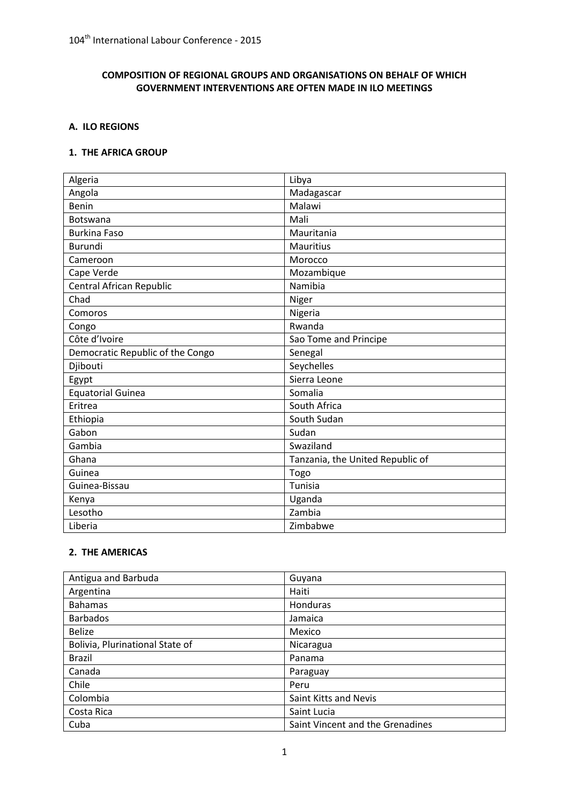### **COMPOSITION OF REGIONAL GROUPS AND ORGANISATIONS ON BEHALF OF WHICH GOVERNMENT INTERVENTIONS ARE OFTEN MADE IN ILO MEETINGS**

### **A. ILO REGIONS**

#### **1. THE AFRICA GROUP**

| Algeria                          | Libya                            |
|----------------------------------|----------------------------------|
| Angola                           | Madagascar                       |
| Benin                            | Malawi                           |
| Botswana                         | Mali                             |
| <b>Burkina Faso</b>              | Mauritania                       |
| <b>Burundi</b>                   | <b>Mauritius</b>                 |
| Cameroon                         | Morocco                          |
| Cape Verde                       | Mozambique                       |
| Central African Republic         | Namibia                          |
| Chad                             | Niger                            |
| Comoros                          | Nigeria                          |
| Congo                            | Rwanda                           |
| Côte d'Ivoire                    | Sao Tome and Principe            |
| Democratic Republic of the Congo | Senegal                          |
| Djibouti                         | Seychelles                       |
| Egypt                            | Sierra Leone                     |
| <b>Equatorial Guinea</b>         | Somalia                          |
| Eritrea                          | South Africa                     |
| Ethiopia                         | South Sudan                      |
| Gabon                            | Sudan                            |
| Gambia                           | Swaziland                        |
| Ghana                            | Tanzania, the United Republic of |
| Guinea                           | Togo                             |
| Guinea-Bissau                    | Tunisia                          |
| Kenya                            | Uganda                           |
| Lesotho                          | Zambia                           |
| Liberia                          | Zimbabwe                         |

### **2. THE AMERICAS**

| Antigua and Barbuda             | Guyana                           |
|---------------------------------|----------------------------------|
| Argentina                       | Haiti                            |
| <b>Bahamas</b>                  | Honduras                         |
| <b>Barbados</b>                 | Jamaica                          |
| <b>Belize</b>                   | Mexico                           |
| Bolivia, Plurinational State of | Nicaragua                        |
| <b>Brazil</b>                   | Panama                           |
| Canada                          | Paraguay                         |
| Chile                           | Peru                             |
| Colombia                        | Saint Kitts and Nevis            |
| Costa Rica                      | Saint Lucia                      |
| Cuba                            | Saint Vincent and the Grenadines |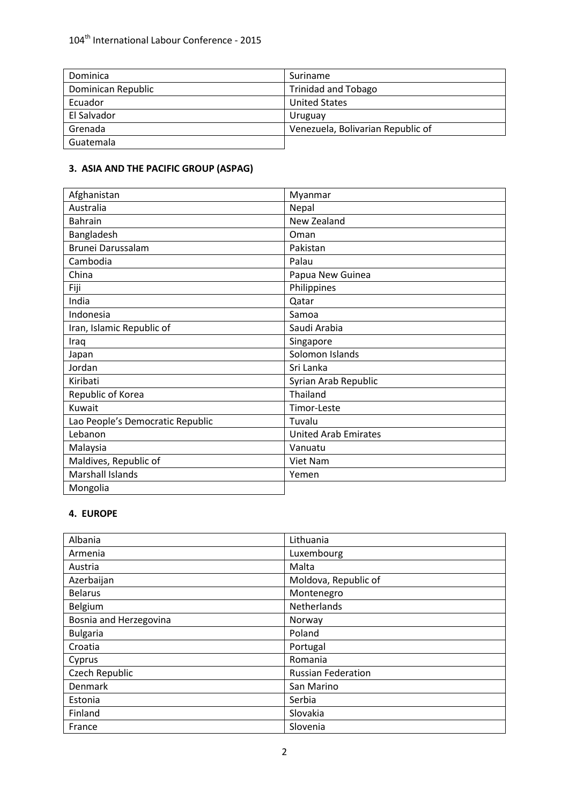| Dominica           | Suriname                          |
|--------------------|-----------------------------------|
| Dominican Republic | <b>Trinidad and Tobago</b>        |
| Ecuador            | <b>United States</b>              |
| El Salvador        | Uruguay                           |
| Grenada            | Venezuela, Bolivarian Republic of |
| Guatemala          |                                   |

## **3. ASIA AND THE PACIFIC GROUP (ASPAG)**

| Afghanistan                      | Myanmar                     |
|----------------------------------|-----------------------------|
| Australia                        | Nepal                       |
| <b>Bahrain</b>                   | New Zealand                 |
| Bangladesh                       | Oman                        |
| Brunei Darussalam                | Pakistan                    |
| Cambodia                         | Palau                       |
| China                            | Papua New Guinea            |
| Fiji                             | Philippines                 |
| India                            | Qatar                       |
| Indonesia                        | Samoa                       |
| Iran, Islamic Republic of        | Saudi Arabia                |
| Iraq                             | Singapore                   |
| Japan                            | Solomon Islands             |
| Jordan                           | Sri Lanka                   |
| Kiribati                         | Syrian Arab Republic        |
| Republic of Korea                | Thailand                    |
| Kuwait                           | Timor-Leste                 |
| Lao People's Democratic Republic | Tuvalu                      |
| Lebanon                          | <b>United Arab Emirates</b> |
| Malaysia                         | Vanuatu                     |
| Maldives, Republic of            | Viet Nam                    |
| <b>Marshall Islands</b>          | Yemen                       |
| Mongolia                         |                             |

### **4. EUROPE**

| Albania                | Lithuania                 |
|------------------------|---------------------------|
| Armenia                | Luxembourg                |
| Austria                | Malta                     |
| Azerbaijan             | Moldova, Republic of      |
| <b>Belarus</b>         | Montenegro                |
| Belgium                | Netherlands               |
| Bosnia and Herzegovina | Norway                    |
| <b>Bulgaria</b>        | Poland                    |
| Croatia                | Portugal                  |
| Cyprus                 | Romania                   |
| Czech Republic         | <b>Russian Federation</b> |
| <b>Denmark</b>         | San Marino                |
| Estonia                | Serbia                    |
| Finland                | Slovakia                  |
| France                 | Slovenia                  |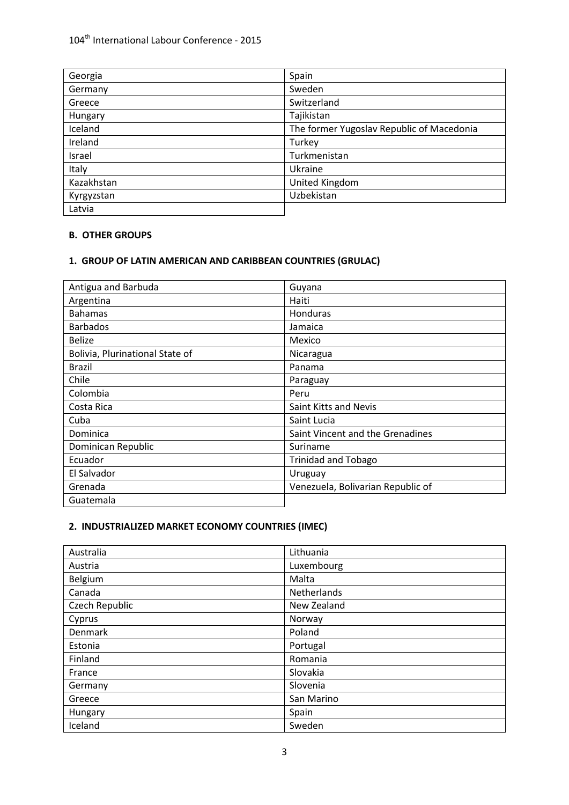# 104<sup>th</sup> International Labour Conference - 2015

| Georgia    | Spain                                     |
|------------|-------------------------------------------|
| Germany    | Sweden                                    |
| Greece     | Switzerland                               |
| Hungary    | Tajikistan                                |
| Iceland    | The former Yugoslav Republic of Macedonia |
| Ireland    | Turkey                                    |
| Israel     | Turkmenistan                              |
| Italy      | Ukraine                                   |
| Kazakhstan | United Kingdom                            |
| Kyrgyzstan | Uzbekistan                                |
| Latvia     |                                           |

#### **B. OTHER GROUPS**

## **1. GROUP OF LATIN AMERICAN AND CARIBBEAN COUNTRIES (GRULAC)**

| Antigua and Barbuda             | Guyana                            |
|---------------------------------|-----------------------------------|
| Argentina                       | Haiti                             |
| <b>Bahamas</b>                  | <b>Honduras</b>                   |
| <b>Barbados</b>                 | Jamaica                           |
| <b>Belize</b>                   | Mexico                            |
| Bolivia, Plurinational State of | Nicaragua                         |
| <b>Brazil</b>                   | Panama                            |
| Chile                           | Paraguay                          |
| Colombia                        | Peru                              |
| Costa Rica                      | Saint Kitts and Nevis             |
| Cuba                            | Saint Lucia                       |
| Dominica                        | Saint Vincent and the Grenadines  |
| Dominican Republic              | Suriname                          |
| Ecuador                         | <b>Trinidad and Tobago</b>        |
| El Salvador                     | Uruguay                           |
| Grenada                         | Venezuela, Bolivarian Republic of |
| Guatemala                       |                                   |

### **2. INDUSTRIALIZED MARKET ECONOMY COUNTRIES (IMEC)**

| Australia      | Lithuania   |
|----------------|-------------|
| Austria        | Luxembourg  |
| Belgium        | Malta       |
| Canada         | Netherlands |
| Czech Republic | New Zealand |
| Cyprus         | Norway      |
| Denmark        | Poland      |
| Estonia        | Portugal    |
| Finland        | Romania     |
| France         | Slovakia    |
| Germany        | Slovenia    |
| Greece         | San Marino  |
| Hungary        | Spain       |
| Iceland        | Sweden      |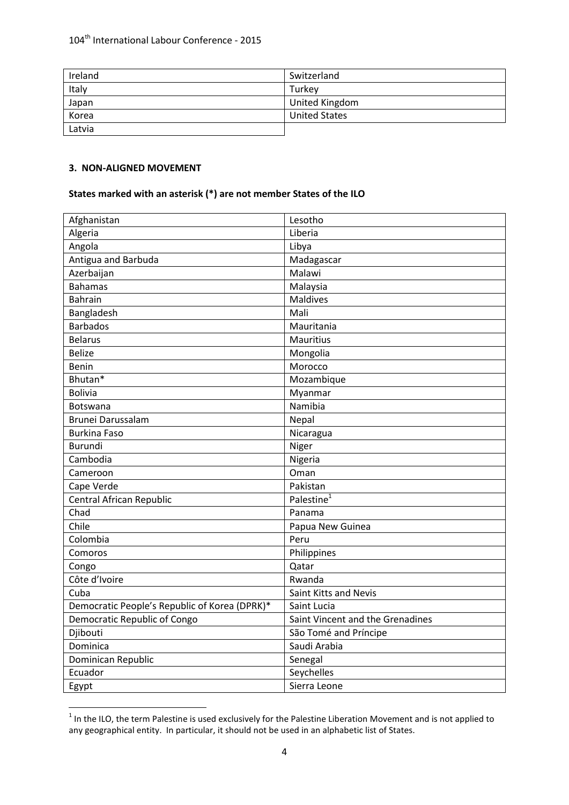| Ireland | Switzerland          |
|---------|----------------------|
| Italy   | Turkey               |
| Japan   | United Kingdom       |
| Korea   | <b>United States</b> |
| Latvia  |                      |

### **3. NON-ALIGNED MOVEMENT**

### **States marked with an asterisk (\*) are not member States of the ILO**

| Afghanistan                                   | Lesotho                          |
|-----------------------------------------------|----------------------------------|
| Algeria                                       | Liberia                          |
| Angola                                        | Libya                            |
| Antigua and Barbuda                           | Madagascar                       |
| Azerbaijan                                    | Malawi                           |
| <b>Bahamas</b>                                | Malaysia                         |
| <b>Bahrain</b>                                | Maldives                         |
| Bangladesh                                    | Mali                             |
| <b>Barbados</b>                               | Mauritania                       |
| <b>Belarus</b>                                | Mauritius                        |
| <b>Belize</b>                                 | Mongolia                         |
| <b>Benin</b>                                  | Morocco                          |
| Bhutan*                                       | Mozambique                       |
| <b>Bolivia</b>                                | Myanmar                          |
| Botswana                                      | Namibia                          |
| Brunei Darussalam                             | Nepal                            |
| <b>Burkina Faso</b>                           | Nicaragua                        |
| <b>Burundi</b>                                | Niger                            |
| Cambodia                                      | Nigeria                          |
| Cameroon                                      | Oman                             |
| Cape Verde                                    | Pakistan                         |
| Central African Republic                      | Palestine <sup>1</sup>           |
| Chad                                          | Panama                           |
| Chile                                         | Papua New Guinea                 |
| Colombia                                      | Peru                             |
| Comoros                                       | Philippines                      |
| Congo                                         | Qatar                            |
| Côte d'Ivoire                                 | Rwanda                           |
| Cuba                                          | Saint Kitts and Nevis            |
| Democratic People's Republic of Korea (DPRK)* | Saint Lucia                      |
| Democratic Republic of Congo                  | Saint Vincent and the Grenadines |
| Djibouti                                      | São Tomé and Príncipe            |
| Dominica                                      | Saudi Arabia                     |
| Dominican Republic                            | Senegal                          |
| Ecuador                                       | Seychelles                       |
| Egypt                                         | Sierra Leone                     |

**THE INCO, the term Palestine is used exclusively for the Palestine Liberation Movement and is not applied to and is not applied to and is not applied to and is not applied to and is not applied to and is not applied to an** any geographical entity. In particular, it should not be used in an alphabetic list of States.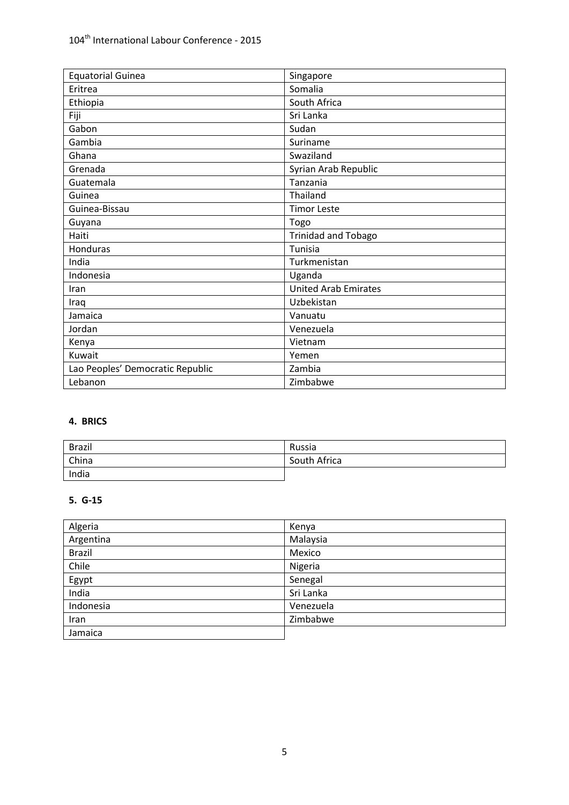| <b>Equatorial Guinea</b>         | Singapore                   |
|----------------------------------|-----------------------------|
| Eritrea                          | Somalia                     |
| Ethiopia                         | South Africa                |
| Fiji                             | Sri Lanka                   |
| Gabon                            | Sudan                       |
| Gambia                           | Suriname                    |
| Ghana                            | Swaziland                   |
| Grenada                          | Syrian Arab Republic        |
| Guatemala                        | Tanzania                    |
| Guinea                           | Thailand                    |
| Guinea-Bissau                    | <b>Timor Leste</b>          |
| Guyana                           | Togo                        |
| Haiti                            | <b>Trinidad and Tobago</b>  |
| Honduras                         | Tunisia                     |
| India                            | Turkmenistan                |
| Indonesia                        | Uganda                      |
| Iran                             | <b>United Arab Emirates</b> |
| Iraq                             | Uzbekistan                  |
| Jamaica                          | Vanuatu                     |
| Jordan                           | Venezuela                   |
| Kenya                            | Vietnam                     |
| Kuwait                           | Yemen                       |
| Lao Peoples' Democratic Republic | Zambia                      |
| Lebanon                          | Zimbabwe                    |

### **4. BRICS**

| <b>Brazil</b> | Russia       |
|---------------|--------------|
| China         | South Africa |
| India         |              |

### **5. G-15**

| Algeria       | Kenya     |
|---------------|-----------|
| Argentina     | Malaysia  |
| <b>Brazil</b> | Mexico    |
| Chile         | Nigeria   |
| Egypt         | Senegal   |
| India         | Sri Lanka |
| Indonesia     | Venezuela |
| Iran          | Zimbabwe  |
| Jamaica       |           |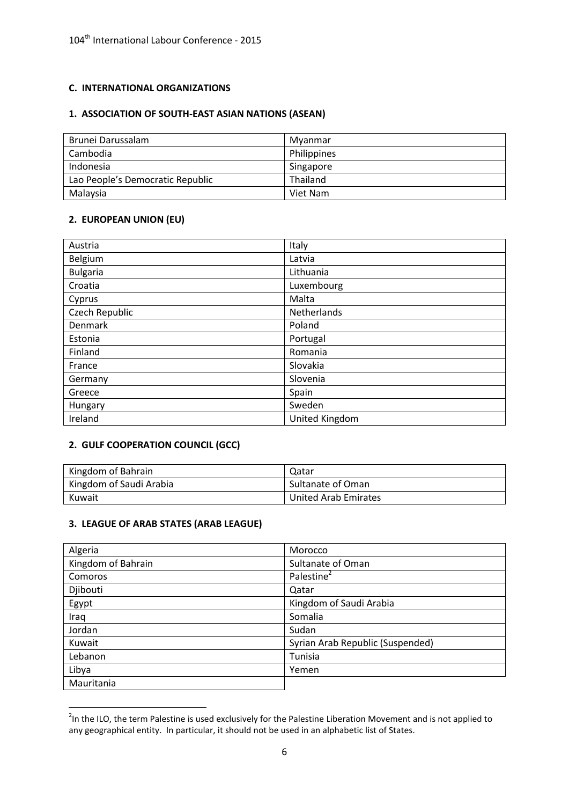### **C. INTERNATIONAL ORGANIZATIONS**

### **1. ASSOCIATION OF SOUTH-EAST ASIAN NATIONS (ASEAN)**

| Brunei Darussalam                | Mvanmar     |
|----------------------------------|-------------|
| Cambodia                         | Philippines |
| Indonesia                        | Singapore   |
| Lao People's Democratic Republic | Thailand    |
| Malaysia                         | Viet Nam    |

#### **2. EUROPEAN UNION (EU)**

| Austria         | Italy          |
|-----------------|----------------|
| Belgium         | Latvia         |
| <b>Bulgaria</b> | Lithuania      |
| Croatia         | Luxembourg     |
| Cyprus          | Malta          |
| Czech Republic  | Netherlands    |
| Denmark         | Poland         |
| Estonia         | Portugal       |
| Finland         | Romania        |
| France          | Slovakia       |
| Germany         | Slovenia       |
| Greece          | Spain          |
| Hungary         | Sweden         |
| Ireland         | United Kingdom |

#### **2. GULF COOPERATION COUNCIL (GCC)**

| Kingdom of Bahrain      | Qatar                |
|-------------------------|----------------------|
| Kingdom of Saudi Arabia | Sultanate of Oman    |
| Kuwait                  | United Arab Emirates |

#### **3. LEAGUE OF ARAB STATES (ARAB LEAGUE)**

| Algeria            | Morocco                          |
|--------------------|----------------------------------|
| Kingdom of Bahrain | Sultanate of Oman                |
| Comoros            | Palestine <sup>2</sup>           |
| Djibouti           | Qatar                            |
| Egypt              | Kingdom of Saudi Arabia          |
| Iraq               | Somalia                          |
| Jordan             | Sudan                            |
| Kuwait             | Syrian Arab Republic (Suspended) |
| Lebanon            | Tunisia                          |
| Libya              | Yemen                            |
| Mauritania         |                                  |

**THE 12008**<br><sup>2</sup> In the ILO, the term Palestine is used exclusively for the Palestine Liberation Movement and is not applied to any geographical entity. In particular, it should not be used in an alphabetic list of States.